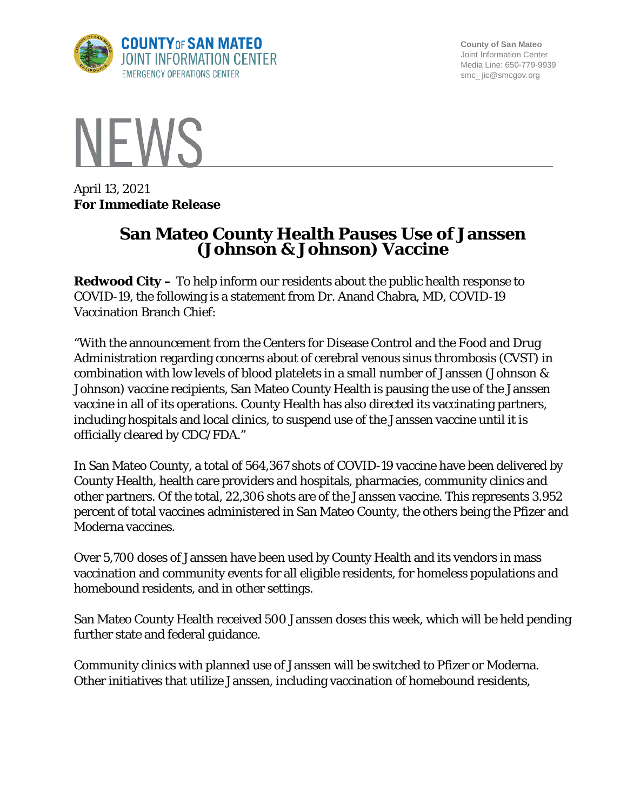

**County of San Mateo** Joint Information Center Media Line: 650-779-9939 smc\_ jic@smcgov.org



April 13, 2021 **For Immediate Release**

## **San Mateo County Health Pauses Use of Janssen (Johnson & Johnson) Vaccine**

**Redwood City –** To help inform our residents about the public health response to COVID-19, the following is a statement from Dr. Anand Chabra, MD, COVID-19 Vaccination Branch Chief:

"With the announcement from the Centers for Disease Control and the Food and Drug Administration regarding concerns about of cerebral venous sinus thrombosis (CVST) in combination with low levels of blood platelets in a small number of Janssen (Johnson & Johnson) vaccine recipients, San Mateo County Health is pausing the use of the Janssen vaccine in all of its operations. County Health has also directed its vaccinating partners, including hospitals and local clinics, to suspend use of the Janssen vaccine until it is officially cleared by CDC/FDA."

In San Mateo County, a total of 564,367 shots of COVID-19 vaccine have been delivered by County Health, health care providers and hospitals, pharmacies, community clinics and other partners. Of the total, 22,306 shots are of the Janssen vaccine. This represents 3.952 percent of total vaccines administered in San Mateo County, the others being the Pfizer and Moderna vaccines.

Over 5,700 doses of Janssen have been used by County Health and its vendors in mass vaccination and community events for all eligible residents, for homeless populations and homebound residents, and in other settings.

San Mateo County Health received 500 Janssen doses this week, which will be held pending further state and federal guidance.

Community clinics with planned use of Janssen will be switched to Pfizer or Moderna. Other initiatives that utilize Janssen, including vaccination of homebound residents,